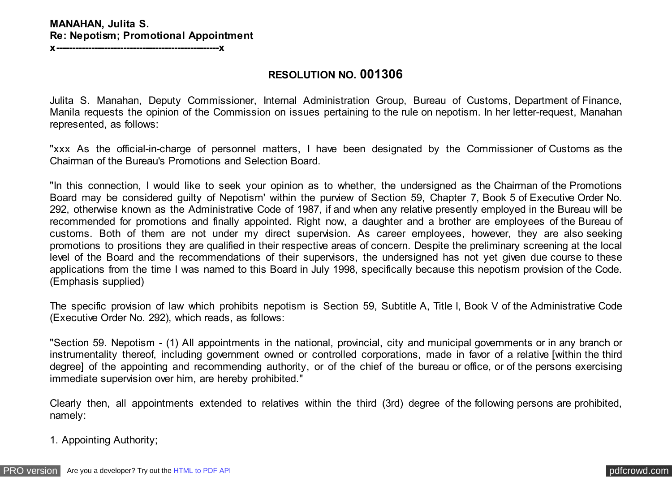### **MANAHAN, Julita S. Re: Nepotism; Promotional Appointment**

**x---------------------------------------------------x**

#### **RESOLUTION NO. 001306**

Julita S. Manahan, Deputy Commissioner, Internal Administration Group, Bureau of Customs, Department of Finance, Manila requests the opinion of the Commission on issues pertaining to the rule on nepotism. In her letter-request, Manahan represented, as follows:

"xxx As the official-in-charge of personnel matters, I have been designated by the Commissioner of Customs as the Chairman of the Bureau's Promotions and Selection Board.

"In this connection, I would like to seek your opinion as to whether, the undersigned as the Chairman of the Promotions Board may be considered guilty of Nepotism' within the purview of Section 59, Chapter 7, Book 5 of Executive Order No. 292, otherwise known as the Administrative Code of 1987, if and when any relative presently employed in the Bureau will be recommended for promotions and finally appointed. Right now, a daughter and a brother are employees of the Bureau of customs. Both of them are not under my direct supervision. As career employees, however, they are also seeking promotions to prositions they are qualified in their respective areas of concern. Despite the preliminary screening at the local level of the Board and the recommendations of their supervisors, the undersigned has not yet given due course to these applications from the time I was named to this Board in July 1998, specifically because this nepotism provision of the Code. (Emphasis supplied)

The specific provision of law which prohibits nepotism is Section 59, Subtitle A, Title I, Book V of the Administrative Code (Executive Order No. 292), which reads, as follows:

"Section 59. Nepotism - (1) All appointments in the national, provincial, city and municipal governments or in any branch or instrumentality thereof, including government owned or controlled corporations, made in favor of a relative [within the third degree] of the appointing and recommending authority, or of the chief of the bureau or office, or of the persons exercising immediate supervision over him, are hereby prohibited."

Clearly then, all appointments extended to relatives within the third (3rd) degree of the following persons are prohibited, namely:

1. Appointing Authority;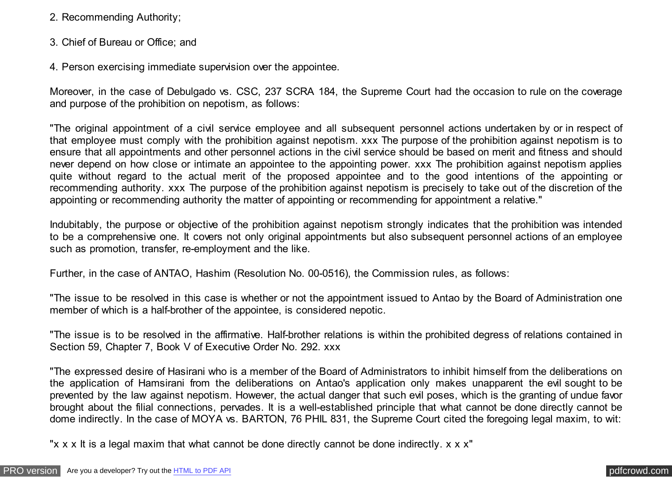- 2. Recommending Authority;
- 3. Chief of Bureau or Office; and
- 4. Person exercising immediate supervision over the appointee.

Moreover, in the case of Debulgado vs. CSC, 237 SCRA 184, the Supreme Court had the occasion to rule on the coverage and purpose of the prohibition on nepotism, as follows:

"The original appointment of a civil service employee and all subsequent personnel actions undertaken by or in respect of that employee must comply with the prohibition against nepotism. xxx The purpose of the prohibition against nepotism is to ensure that all appointments and other personnel actions in the civil service should be based on merit and fitness and should never depend on how close or intimate an appointee to the appointing power. xxx The prohibition against nepotism applies quite without regard to the actual merit of the proposed appointee and to the good intentions of the appointing or recommending authority. xxx The purpose of the prohibition against nepotism is precisely to take out of the discretion of the appointing or recommending authority the matter of appointing or recommending for appointment a relative."

Indubitably, the purpose or objective of the prohibition against nepotism strongly indicates that the prohibition was intended to be a comprehensive one. It covers not only original appointments but also subsequent personnel actions of an employee such as promotion, transfer, re-employment and the like.

Further, in the case of ANTAO, Hashim (Resolution No. 00-0516), the Commission rules, as follows:

"The issue to be resolved in this case is whether or not the appointment issued to Antao by the Board of Administration one member of which is a half-brother of the appointee, is considered nepotic.

"The issue is to be resolved in the affirmative. Half-brother relations is within the prohibited degress of relations contained in Section 59, Chapter 7, Book V of Executive Order No. 292. xxx

"The expressed desire of Hasirani who is a member of the Board of Administrators to inhibit himself from the deliberations on the application of Hamsirani from the deliberations on Antao's application only makes unapparent the evil sought to be prevented by the law against nepotism. However, the actual danger that such evil poses, which is the granting of undue favor brought about the filial connections, pervades. It is a well-established principle that what cannot be done directly cannot be dome indirectly. In the case of MOYA vs. BARTON, 76 PHIL 831, the Supreme Court cited the foregoing legal maxim, to wit:

"x x x It is a legal maxim that what cannot be done directly cannot be done indirectly. x x x"